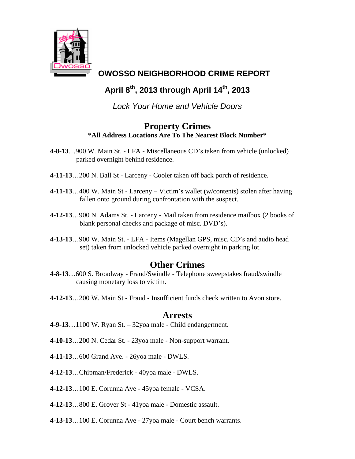

## **OWOSSO NEIGHBORHOOD CRIME REPORT**

# **April 8th, 2013 through April 14th, 2013**

*Lock Your Home and Vehicle Doors* 

### **Property Crimes \*All Address Locations Are To The Nearest Block Number\***

- **4-8-13**…900 W. Main St. LFA Miscellaneous CD's taken from vehicle (unlocked) parked overnight behind residence.
- **4-11-13**…200 N. Ball St Larceny Cooler taken off back porch of residence.
- **4-11-13**…400 W. Main St Larceny Victim's wallet (w/contents) stolen after having fallen onto ground during confrontation with the suspect.
- **4-12-13**…900 N. Adams St. Larceny Mail taken from residence mailbox (2 books of blank personal checks and package of misc. DVD's).
- **4-13-13**…900 W. Main St. LFA Items (Magellan GPS, misc. CD's and audio head set) taken from unlocked vehicle parked overnight in parking lot.

### **Other Crimes**

- **4-8-13**…600 S. Broadway Fraud/Swindle Telephone sweepstakes fraud/swindle causing monetary loss to victim.
- **4-12-13**…200 W. Main St Fraud Insufficient funds check written to Avon store.

#### **Arrests**

- **4-9-13**…1100 W. Ryan St. 32yoa male Child endangerment.
- **4-10-13**…200 N. Cedar St. 23yoa male Non-support warrant.
- **4-11-13**…600 Grand Ave. 26yoa male DWLS.
- **4-12-13**…Chipman/Frederick 40yoa male DWLS.
- **4-12-13**…100 E. Corunna Ave 45yoa female VCSA.
- **4-12-13**…800 E. Grover St 41yoa male Domestic assault.
- **4-13-13**…100 E. Corunna Ave 27yoa male Court bench warrants.